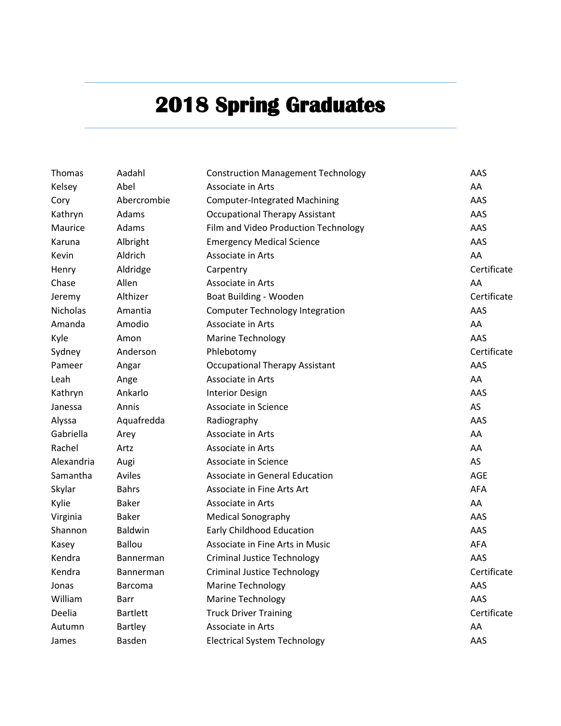## **2018 Spring Graduates**

| <b>Thomas</b>   | Aadahl           | <b>Construction Management Technology</b> | AAS         |
|-----------------|------------------|-------------------------------------------|-------------|
| Kelsey          | Abel             | Associate in Arts                         | AA          |
| Cory            | Abercrombie      | <b>Computer-Integrated Machining</b>      | AAS         |
| Kathryn         | Adams            | <b>Occupational Therapy Assistant</b>     | AAS         |
| Maurice         | Adams            | Film and Video Production Technology      | AAS         |
| Karuna          | Albright         | <b>Emergency Medical Science</b>          | AAS         |
| Kevin           | Aldrich          | Associate in Arts                         | AA          |
| Henry           | Aldridge         | Carpentry                                 | Certificate |
| Chase           | Allen            | Associate in Arts                         | AA          |
| Jeremy          | Althizer         | Boat Building - Wooden                    | Certificate |
| <b>Nicholas</b> | Amantia          | <b>Computer Technology Integration</b>    | AAS         |
| Amanda          | Amodio           | Associate in Arts                         | AA          |
| Kyle            | Amon             | <b>Marine Technology</b>                  | AAS         |
| Sydney          | Anderson         | Phlebotomy                                | Certificate |
| Pameer          | Angar            | <b>Occupational Therapy Assistant</b>     | AAS         |
| Leah            | Ange             | Associate in Arts                         | AA          |
| Kathryn         | Ankarlo          | <b>Interior Design</b>                    | AAS         |
| Janessa         | Annis            | Associate in Science                      | AS          |
| Alyssa          | Aquafredda       | Radiography                               | AAS         |
| Gabriella       | Arey             | Associate in Arts                         | AA          |
| Rachel          | Artz             | Associate in Arts                         | AA          |
| Alexandria      | Augi             | Associate in Science                      | AS          |
| Samantha        | Aviles           | Associate in General Education            | AGE         |
| Skylar          | <b>Bahrs</b>     | Associate in Fine Arts Art                | <b>AFA</b>  |
| Kylie           | <b>Baker</b>     | Associate in Arts                         | AA          |
| Virginia        | <b>Baker</b>     | <b>Medical Sonography</b>                 | AAS         |
| Shannon         | Baldwin          | <b>Early Childhood Education</b>          | AAS         |
| Kasey           | <b>Ballou</b>    | Associate in Fine Arts in Music           | AFA         |
| Kendra          | Bannerman        | <b>Criminal Justice Technology</b>        | AAS         |
| Kendra          | <b>Bannerman</b> | <b>Criminal Justice Technology</b>        | Certificate |
| Jonas           | <b>Barcoma</b>   | <b>Marine Technology</b>                  | AAS         |
| William         | Barr             | <b>Marine Technology</b>                  | AAS         |
| Deelia          | <b>Bartlett</b>  | <b>Truck Driver Training</b>              | Certificate |
| Autumn          | <b>Bartley</b>   | Associate in Arts                         | AA          |
| James           | Basden           | <b>Electrical System Technology</b>       | AAS         |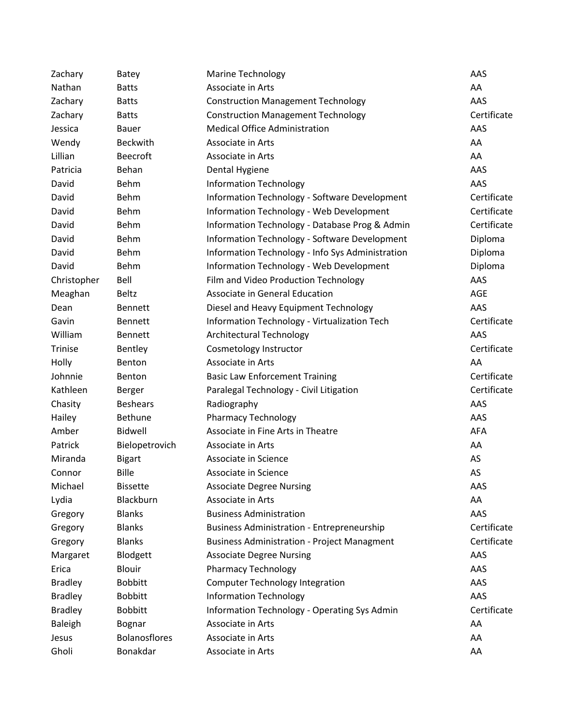| Zachary        | Batey                | <b>Marine Technology</b>                           | AAS         |
|----------------|----------------------|----------------------------------------------------|-------------|
| Nathan         | <b>Batts</b>         | Associate in Arts                                  | AA          |
| Zachary        | <b>Batts</b>         | <b>Construction Management Technology</b>          | AAS         |
| Zachary        | <b>Batts</b>         | <b>Construction Management Technology</b>          | Certificate |
| Jessica        | <b>Bauer</b>         | <b>Medical Office Administration</b>               | AAS         |
| Wendy          | Beckwith             | Associate in Arts                                  | AA          |
| Lillian        | <b>Beecroft</b>      | Associate in Arts                                  | AA          |
| Patricia       | Behan                | Dental Hygiene                                     | AAS         |
| David          | Behm                 | <b>Information Technology</b>                      | AAS         |
| David          | Behm                 | Information Technology - Software Development      | Certificate |
| David          | Behm                 | <b>Information Technology - Web Development</b>    | Certificate |
| David          | Behm                 | Information Technology - Database Prog & Admin     | Certificate |
| David          | Behm                 | Information Technology - Software Development      | Diploma     |
| David          | Behm                 | Information Technology - Info Sys Administration   | Diploma     |
| David          | Behm                 | Information Technology - Web Development           | Diploma     |
| Christopher    | Bell                 | Film and Video Production Technology               | AAS         |
| Meaghan        | <b>Beltz</b>         | Associate in General Education                     | <b>AGE</b>  |
| Dean           | <b>Bennett</b>       | Diesel and Heavy Equipment Technology              | AAS         |
| Gavin          | <b>Bennett</b>       | Information Technology - Virtualization Tech       | Certificate |
| William        | <b>Bennett</b>       | <b>Architectural Technology</b>                    | AAS         |
| Trinise        | Bentley              | Cosmetology Instructor                             | Certificate |
| Holly          | Benton               | Associate in Arts                                  | AA          |
| Johnnie        | Benton               | <b>Basic Law Enforcement Training</b>              | Certificate |
| Kathleen       | Berger               | Paralegal Technology - Civil Litigation            | Certificate |
| Chasity        | <b>Beshears</b>      | Radiography                                        | AAS         |
| Hailey         | <b>Bethune</b>       | <b>Pharmacy Technology</b>                         | AAS         |
| Amber          | <b>Bidwell</b>       | Associate in Fine Arts in Theatre                  | AFA         |
| Patrick        | Bielopetrovich       | Associate in Arts                                  | AA          |
| Miranda        | <b>Bigart</b>        | Associate in Science                               | AS          |
| Connor         | <b>Bille</b>         | Associate in Science                               | AS          |
| Michael        | <b>Bissette</b>      | <b>Associate Degree Nursing</b>                    | AAS         |
| Lydia          | Blackburn            | Associate in Arts                                  | AA          |
| Gregory        | <b>Blanks</b>        | <b>Business Administration</b>                     | AAS         |
| Gregory        | <b>Blanks</b>        | <b>Business Administration - Entrepreneurship</b>  | Certificate |
| Gregory        | <b>Blanks</b>        | <b>Business Administration - Project Managment</b> | Certificate |
| Margaret       | Blodgett             | <b>Associate Degree Nursing</b>                    | AAS         |
| Erica          | <b>Blouir</b>        | <b>Pharmacy Technology</b>                         | AAS         |
| <b>Bradley</b> | <b>Bobbitt</b>       | <b>Computer Technology Integration</b>             | AAS         |
| <b>Bradley</b> | <b>Bobbitt</b>       | <b>Information Technology</b>                      | AAS         |
| <b>Bradley</b> | <b>Bobbitt</b>       | Information Technology - Operating Sys Admin       | Certificate |
| <b>Baleigh</b> | Bognar               | Associate in Arts                                  | AA          |
| Jesus          | <b>Bolanosflores</b> | Associate in Arts                                  | AA          |
| Gholi          | Bonakdar             | Associate in Arts                                  | AA          |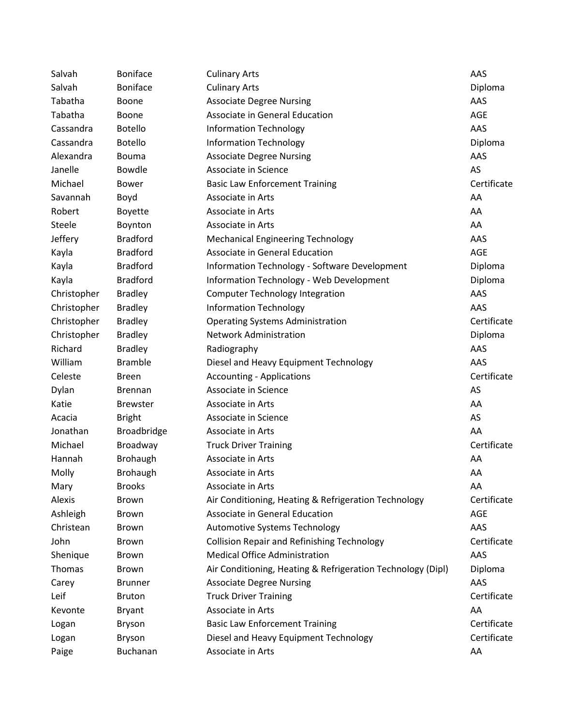| Salvah      | <b>Boniface</b> | <b>Culinary Arts</b>                                        | AAS         |
|-------------|-----------------|-------------------------------------------------------------|-------------|
| Salvah      | <b>Boniface</b> | <b>Culinary Arts</b>                                        | Diploma     |
| Tabatha     | Boone           | <b>Associate Degree Nursing</b>                             | AAS         |
| Tabatha     | Boone           | Associate in General Education                              | AGE         |
| Cassandra   | <b>Botello</b>  | <b>Information Technology</b>                               | AAS         |
| Cassandra   | <b>Botello</b>  | <b>Information Technology</b>                               | Diploma     |
| Alexandra   | <b>Bouma</b>    | <b>Associate Degree Nursing</b>                             | AAS         |
| Janelle     | Bowdle          | Associate in Science                                        | AS          |
| Michael     | <b>Bower</b>    | <b>Basic Law Enforcement Training</b>                       | Certificate |
| Savannah    | Boyd            | Associate in Arts                                           | AA          |
| Robert      | <b>Boyette</b>  | Associate in Arts                                           | AA          |
| Steele      | Boynton         | Associate in Arts                                           | AA          |
| Jeffery     | <b>Bradford</b> | <b>Mechanical Engineering Technology</b>                    | AAS         |
| Kayla       | <b>Bradford</b> | Associate in General Education                              | AGE         |
| Kayla       | <b>Bradford</b> | Information Technology - Software Development               | Diploma     |
| Kayla       | <b>Bradford</b> | Information Technology - Web Development                    | Diploma     |
| Christopher | <b>Bradley</b>  | <b>Computer Technology Integration</b>                      | AAS         |
| Christopher | <b>Bradley</b>  | <b>Information Technology</b>                               | AAS         |
| Christopher | <b>Bradley</b>  | <b>Operating Systems Administration</b>                     | Certificate |
| Christopher | <b>Bradley</b>  | <b>Network Administration</b>                               | Diploma     |
| Richard     | <b>Bradley</b>  | Radiography                                                 | AAS         |
| William     | <b>Bramble</b>  | Diesel and Heavy Equipment Technology                       | AAS         |
| Celeste     | <b>Breen</b>    | <b>Accounting - Applications</b>                            | Certificate |
| Dylan       | <b>Brennan</b>  | Associate in Science                                        | AS          |
| Katie       | <b>Brewster</b> | Associate in Arts                                           | AA          |
| Acacia      | <b>Bright</b>   | Associate in Science                                        | AS          |
| Jonathan    | Broadbridge     | Associate in Arts                                           | AA          |
| Michael     | Broadway        | <b>Truck Driver Training</b>                                | Certificate |
| Hannah      | <b>Brohaugh</b> | Associate in Arts                                           | AA          |
| Molly       | Brohaugh        | Associate in Arts                                           | AA          |
| Mary        | <b>Brooks</b>   | Associate in Arts                                           | AA          |
| Alexis      | <b>Brown</b>    | Air Conditioning, Heating & Refrigeration Technology        | Certificate |
| Ashleigh    | <b>Brown</b>    | Associate in General Education                              | AGE         |
| Christean   | <b>Brown</b>    | Automotive Systems Technology                               | AAS         |
| John        | Brown           | <b>Collision Repair and Refinishing Technology</b>          | Certificate |
| Shenique    | Brown           | <b>Medical Office Administration</b>                        | AAS         |
| Thomas      | <b>Brown</b>    | Air Conditioning, Heating & Refrigeration Technology (Dipl) | Diploma     |
| Carey       | <b>Brunner</b>  | <b>Associate Degree Nursing</b>                             | AAS         |
| Leif        | <b>Bruton</b>   | <b>Truck Driver Training</b>                                | Certificate |
| Kevonte     | <b>Bryant</b>   | Associate in Arts                                           | AA          |
| Logan       | <b>Bryson</b>   | <b>Basic Law Enforcement Training</b>                       | Certificate |
| Logan       | Bryson          | Diesel and Heavy Equipment Technology                       | Certificate |
| Paige       | Buchanan        | Associate in Arts                                           | AA          |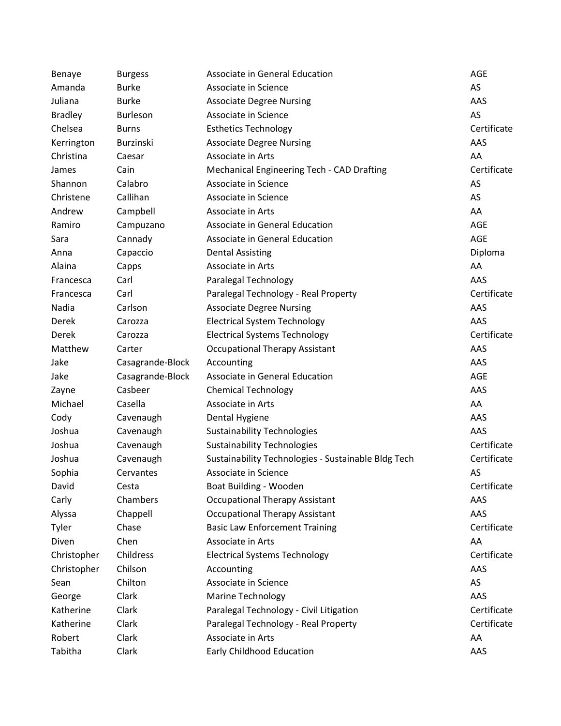| Benaye         | <b>Burgess</b>   | Associate in General Education                      | AGE         |
|----------------|------------------|-----------------------------------------------------|-------------|
| Amanda         | <b>Burke</b>     | Associate in Science                                | AS          |
| Juliana        | <b>Burke</b>     | <b>Associate Degree Nursing</b>                     | AAS         |
| <b>Bradley</b> | Burleson         | Associate in Science                                | AS          |
| Chelsea        | <b>Burns</b>     | <b>Esthetics Technology</b>                         | Certificate |
| Kerrington     | Burzinski        | <b>Associate Degree Nursing</b>                     | AAS         |
| Christina      | Caesar           | Associate in Arts                                   | AA          |
| James          | Cain             | Mechanical Engineering Tech - CAD Drafting          | Certificate |
| Shannon        | Calabro          | Associate in Science                                | AS          |
| Christene      | Callihan         | Associate in Science                                | AS          |
| Andrew         | Campbell         | Associate in Arts                                   | AA          |
| Ramiro         | Campuzano        | Associate in General Education                      | AGE         |
| Sara           | Cannady          | Associate in General Education                      | AGE         |
| Anna           | Capaccio         | <b>Dental Assisting</b>                             | Diploma     |
| Alaina         | Capps            | Associate in Arts                                   | AA          |
| Francesca      | Carl             | Paralegal Technology                                | AAS         |
| Francesca      | Carl             | Paralegal Technology - Real Property                | Certificate |
| Nadia          | Carlson          | <b>Associate Degree Nursing</b>                     | AAS         |
| Derek          | Carozza          | <b>Electrical System Technology</b>                 | AAS         |
| Derek          | Carozza          | <b>Electrical Systems Technology</b>                | Certificate |
| Matthew        | Carter           | <b>Occupational Therapy Assistant</b>               | AAS         |
| Jake           | Casagrande-Block | Accounting                                          | AAS         |
| Jake           | Casagrande-Block | Associate in General Education                      | AGE         |
| Zayne          | Casbeer          | <b>Chemical Technology</b>                          | AAS         |
| Michael        | Casella          | Associate in Arts                                   | AA          |
| Cody           | Cavenaugh        | Dental Hygiene                                      | AAS         |
| Joshua         | Cavenaugh        | <b>Sustainability Technologies</b>                  | AAS         |
| Joshua         | Cavenaugh        | <b>Sustainability Technologies</b>                  | Certificate |
| Joshua         | Cavenaugh        | Sustainability Technologies - Sustainable Bldg Tech | Certificate |
| Sophia         | Cervantes        | Associate in Science                                | AS          |
| David          | Cesta            | Boat Building - Wooden                              | Certificate |
| Carly          | Chambers         | <b>Occupational Therapy Assistant</b>               | AAS         |
| Alyssa         | Chappell         | <b>Occupational Therapy Assistant</b>               | AAS         |
| Tyler          | Chase            | <b>Basic Law Enforcement Training</b>               | Certificate |
| Diven          | Chen             | Associate in Arts                                   | AA          |
| Christopher    | Childress        | <b>Electrical Systems Technology</b>                | Certificate |
| Christopher    | Chilson          | Accounting                                          | AAS         |
| Sean           | Chilton          | Associate in Science                                | AS          |
| George         | Clark            | <b>Marine Technology</b>                            | AAS         |
| Katherine      | Clark            | Paralegal Technology - Civil Litigation             | Certificate |
| Katherine      | Clark            | Paralegal Technology - Real Property                | Certificate |
| Robert         | Clark            | Associate in Arts                                   | AA          |
| Tabitha        | Clark            | Early Childhood Education                           | AAS         |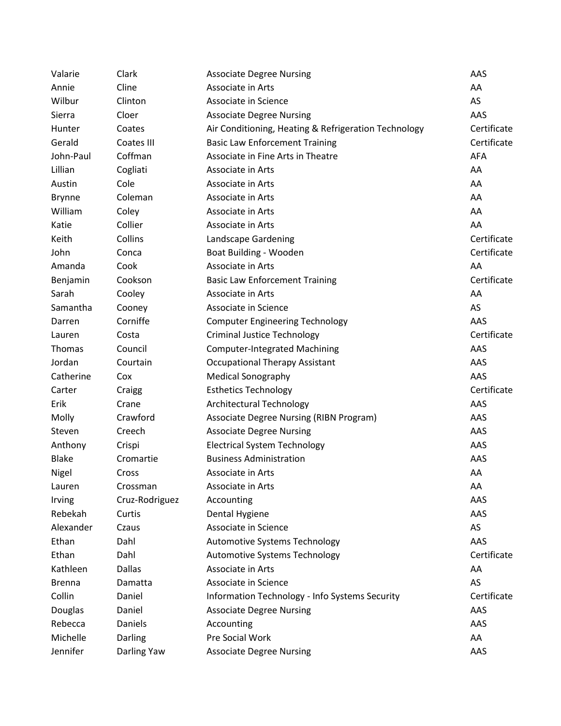| Valarie       | Clark          | <b>Associate Degree Nursing</b>                      | AAS         |
|---------------|----------------|------------------------------------------------------|-------------|
| Annie         | Cline          | Associate in Arts                                    | AA          |
| Wilbur        | Clinton        | Associate in Science                                 | AS          |
| Sierra        | Cloer          | <b>Associate Degree Nursing</b>                      | AAS         |
| Hunter        | Coates         | Air Conditioning, Heating & Refrigeration Technology | Certificate |
| Gerald        | Coates III     | <b>Basic Law Enforcement Training</b>                | Certificate |
| John-Paul     | Coffman        | Associate in Fine Arts in Theatre                    | AFA         |
| Lillian       | Cogliati       | Associate in Arts                                    | AA          |
| Austin        | Cole           | Associate in Arts                                    | AA          |
| <b>Brynne</b> | Coleman        | Associate in Arts                                    | AA          |
| William       | Coley          | Associate in Arts                                    | AA          |
| Katie         | Collier        | Associate in Arts                                    | AA          |
| Keith         | Collins        | Landscape Gardening                                  | Certificate |
| John          | Conca          | Boat Building - Wooden                               | Certificate |
| Amanda        | Cook           | Associate in Arts                                    | AA          |
| Benjamin      | Cookson        | <b>Basic Law Enforcement Training</b>                | Certificate |
| Sarah         | Cooley         | Associate in Arts                                    | AA          |
| Samantha      | Cooney         | Associate in Science                                 | AS          |
| Darren        | Corniffe       | <b>Computer Engineering Technology</b>               | AAS         |
| Lauren        | Costa          | <b>Criminal Justice Technology</b>                   | Certificate |
| <b>Thomas</b> | Council        | <b>Computer-Integrated Machining</b>                 | AAS         |
| Jordan        | Courtain       | <b>Occupational Therapy Assistant</b>                | AAS         |
| Catherine     | Cox            | <b>Medical Sonography</b>                            | AAS         |
| Carter        | Craigg         | <b>Esthetics Technology</b>                          | Certificate |
| Erik          | Crane          | Architectural Technology                             | AAS         |
| Molly         | Crawford       | Associate Degree Nursing (RIBN Program)              | AAS         |
| Steven        | Creech         | <b>Associate Degree Nursing</b>                      | AAS         |
| Anthony       | Crispi         | <b>Electrical System Technology</b>                  | AAS         |
| <b>Blake</b>  | Cromartie      | <b>Business Administration</b>                       | AAS         |
| Nigel         | Cross          | Associate in Arts                                    | AA          |
| Lauren        | Crossman       | Associate in Arts                                    | AA          |
| Irving        | Cruz-Rodriguez | Accounting                                           | AAS         |
| Rebekah       | Curtis         | Dental Hygiene                                       | AAS         |
| Alexander     | Czaus          | Associate in Science                                 | AS          |
| Ethan         | Dahl           | Automotive Systems Technology                        | AAS         |
| Ethan         | Dahl           | <b>Automotive Systems Technology</b>                 | Certificate |
| Kathleen      | <b>Dallas</b>  | Associate in Arts                                    | AA          |
| <b>Brenna</b> | Damatta        | Associate in Science                                 | AS          |
| Collin        | Daniel         | Information Technology - Info Systems Security       | Certificate |
| Douglas       | Daniel         | <b>Associate Degree Nursing</b>                      | AAS         |
| Rebecca       | Daniels        | Accounting                                           | AAS         |
| Michelle      | Darling        | Pre Social Work                                      | AA          |
| Jennifer      | Darling Yaw    | <b>Associate Degree Nursing</b>                      | AAS         |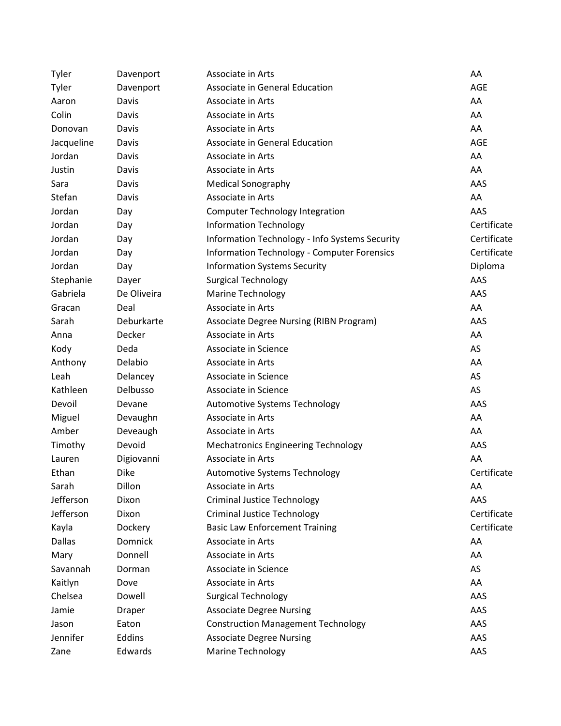| Tyler         | Davenport   | Associate in Arts                                  | AA          |
|---------------|-------------|----------------------------------------------------|-------------|
| Tyler         | Davenport   | Associate in General Education                     | <b>AGE</b>  |
| Aaron         | Davis       | Associate in Arts                                  | AA          |
| Colin         | Davis       | Associate in Arts                                  | AA          |
| Donovan       | Davis       | Associate in Arts                                  | AA          |
| Jacqueline    | Davis       | Associate in General Education                     | <b>AGE</b>  |
| Jordan        | Davis       | Associate in Arts                                  | AA          |
| Justin        | Davis       | Associate in Arts                                  | AA          |
| Sara          | Davis       | <b>Medical Sonography</b>                          | AAS         |
| Stefan        | Davis       | Associate in Arts                                  | AA          |
| Jordan        | Day         | <b>Computer Technology Integration</b>             | AAS         |
| Jordan        | Day         | <b>Information Technology</b>                      | Certificate |
| Jordan        | Day         | Information Technology - Info Systems Security     | Certificate |
| Jordan        | Day         | <b>Information Technology - Computer Forensics</b> | Certificate |
| Jordan        | Day         | <b>Information Systems Security</b>                | Diploma     |
| Stephanie     | Dayer       | <b>Surgical Technology</b>                         | AAS         |
| Gabriela      | De Oliveira | <b>Marine Technology</b>                           | AAS         |
| Gracan        | Deal        | Associate in Arts                                  | AA          |
| Sarah         | Deburkarte  | Associate Degree Nursing (RIBN Program)            | AAS         |
| Anna          | Decker      | Associate in Arts                                  | AA          |
| Kody          | Deda        | Associate in Science                               | AS          |
| Anthony       | Delabio     | Associate in Arts                                  | AA          |
| Leah          | Delancey    | Associate in Science                               | AS          |
| Kathleen      | Delbusso    | Associate in Science                               | AS          |
| Devoil        | Devane      | Automotive Systems Technology                      | AAS         |
| Miguel        | Devaughn    | Associate in Arts                                  | AA          |
| Amber         | Deveaugh    | Associate in Arts                                  | AA          |
| Timothy       | Devoid      | <b>Mechatronics Engineering Technology</b>         | AAS         |
| Lauren        | Digiovanni  | Associate in Arts                                  | AA          |
| Ethan         | <b>Dike</b> | Automotive Systems Technology                      | Certificate |
| Sarah         | Dillon      | Associate in Arts                                  | AA          |
| Jefferson     | Dixon       | <b>Criminal Justice Technology</b>                 | AAS         |
| Jefferson     | Dixon       | <b>Criminal Justice Technology</b>                 | Certificate |
| Kayla         | Dockery     | <b>Basic Law Enforcement Training</b>              | Certificate |
| <b>Dallas</b> | Domnick     | Associate in Arts                                  | AA          |
| Mary          | Donnell     | Associate in Arts                                  | AA          |
| Savannah      | Dorman      | Associate in Science                               | AS          |
| Kaitlyn       | Dove        | Associate in Arts                                  | AA          |
| Chelsea       | Dowell      | <b>Surgical Technology</b>                         | AAS         |
| Jamie         | Draper      | <b>Associate Degree Nursing</b>                    | AAS         |
| Jason         | Eaton       | <b>Construction Management Technology</b>          | AAS         |
| Jennifer      | Eddins      | <b>Associate Degree Nursing</b>                    | AAS         |
| Zane          | Edwards     | <b>Marine Technology</b>                           | AAS         |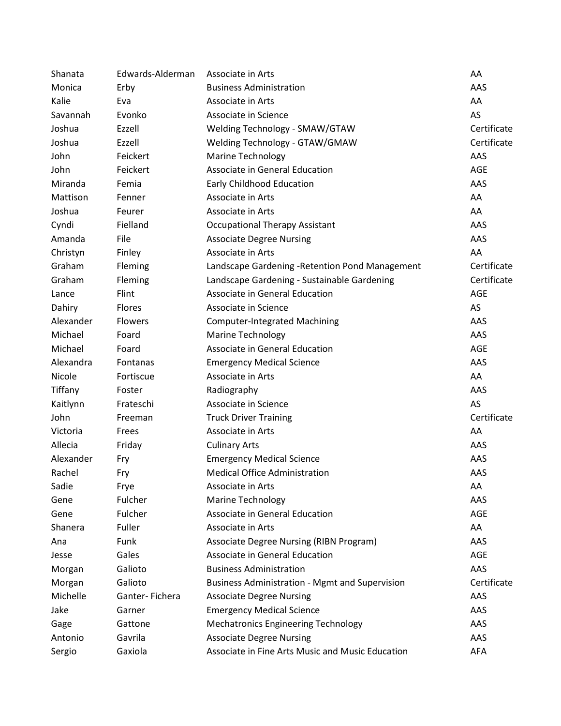| Shanata   | Edwards-Alderman | Associate in Arts                                     | AA          |
|-----------|------------------|-------------------------------------------------------|-------------|
| Monica    | Erby             | <b>Business Administration</b>                        | AAS         |
| Kalie     | Eva              | Associate in Arts                                     | AA          |
| Savannah  | Evonko           | Associate in Science                                  | AS          |
| Joshua    | Ezzell           | Welding Technology - SMAW/GTAW                        | Certificate |
| Joshua    | Ezzell           | Welding Technology - GTAW/GMAW                        | Certificate |
| John      | Feickert         | <b>Marine Technology</b>                              | AAS         |
| John      | Feickert         | Associate in General Education                        | <b>AGE</b>  |
| Miranda   | Femia            | <b>Early Childhood Education</b>                      | AAS         |
| Mattison  | Fenner           | Associate in Arts                                     | AA          |
| Joshua    | Feurer           | Associate in Arts                                     | AA          |
| Cyndi     | Fielland         | <b>Occupational Therapy Assistant</b>                 | AAS         |
| Amanda    | File             | <b>Associate Degree Nursing</b>                       | AAS         |
| Christyn  | Finley           | Associate in Arts                                     | AA          |
| Graham    | Fleming          | Landscape Gardening - Retention Pond Management       | Certificate |
| Graham    | Fleming          | Landscape Gardening - Sustainable Gardening           | Certificate |
| Lance     | Flint            | <b>Associate in General Education</b>                 | <b>AGE</b>  |
| Dahiry    | Flores           | Associate in Science                                  | AS          |
| Alexander | Flowers          | <b>Computer-Integrated Machining</b>                  | AAS         |
| Michael   | Foard            | Marine Technology                                     | AAS         |
| Michael   | Foard            | Associate in General Education                        | <b>AGE</b>  |
| Alexandra | Fontanas         | <b>Emergency Medical Science</b>                      | AAS         |
| Nicole    | Fortiscue        | Associate in Arts                                     | AA          |
| Tiffany   | Foster           | Radiography                                           | AAS         |
| Kaitlynn  | Frateschi        | Associate in Science                                  | AS          |
| John      | Freeman          | <b>Truck Driver Training</b>                          | Certificate |
| Victoria  | Frees            | Associate in Arts                                     | AA          |
| Allecia   | Friday           | <b>Culinary Arts</b>                                  | AAS         |
| Alexander | Fry              | <b>Emergency Medical Science</b>                      | AAS         |
| Rachel    | Fry              | <b>Medical Office Administration</b>                  | AAS         |
| Sadie     | Frye             | Associate in Arts                                     | AA          |
| Gene      | Fulcher          | Marine Technology                                     | AAS         |
| Gene      | Fulcher          | Associate in General Education                        | <b>AGE</b>  |
| Shanera   | Fuller           | Associate in Arts                                     | AA          |
| Ana       | Funk             | <b>Associate Degree Nursing (RIBN Program)</b>        | AAS         |
| Jesse     | Gales            | Associate in General Education                        | <b>AGE</b>  |
| Morgan    | Galioto          | <b>Business Administration</b>                        | AAS         |
| Morgan    | Galioto          | <b>Business Administration - Mgmt and Supervision</b> | Certificate |
| Michelle  | Ganter-Fichera   | <b>Associate Degree Nursing</b>                       | AAS         |
| Jake      | Garner           | <b>Emergency Medical Science</b>                      | AAS         |
| Gage      | Gattone          | <b>Mechatronics Engineering Technology</b>            | AAS         |
| Antonio   | Gavrila          | <b>Associate Degree Nursing</b>                       | AAS         |
| Sergio    | Gaxiola          | Associate in Fine Arts Music and Music Education      | <b>AFA</b>  |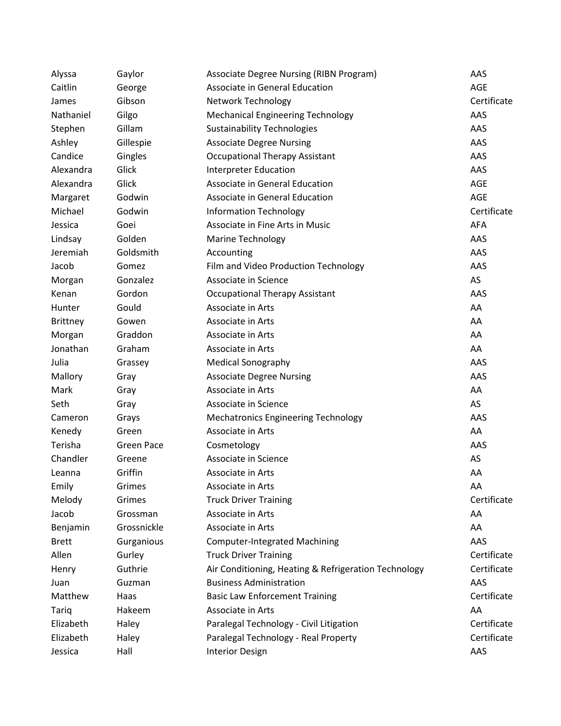| Alyssa       | Gaylor            | Associate Degree Nursing (RIBN Program)              | AAS         |
|--------------|-------------------|------------------------------------------------------|-------------|
| Caitlin      | George            | Associate in General Education                       | AGE         |
| James        | Gibson            | Network Technology                                   | Certificate |
| Nathaniel    | Gilgo             | <b>Mechanical Engineering Technology</b>             | AAS         |
| Stephen      | Gillam            | <b>Sustainability Technologies</b>                   | AAS         |
| Ashley       | Gillespie         | <b>Associate Degree Nursing</b>                      | AAS         |
| Candice      | Gingles           | <b>Occupational Therapy Assistant</b>                | AAS         |
| Alexandra    | Glick             | <b>Interpreter Education</b>                         | AAS         |
| Alexandra    | Glick             | Associate in General Education                       | <b>AGE</b>  |
| Margaret     | Godwin            | Associate in General Education                       | AGE         |
| Michael      | Godwin            | <b>Information Technology</b>                        | Certificate |
| Jessica      | Goei              | Associate in Fine Arts in Music                      | AFA         |
| Lindsay      | Golden            | <b>Marine Technology</b>                             | AAS         |
| Jeremiah     | Goldsmith         | Accounting                                           | AAS         |
| Jacob        | Gomez             | Film and Video Production Technology                 | AAS         |
| Morgan       | Gonzalez          | Associate in Science                                 | AS          |
| Kenan        | Gordon            | <b>Occupational Therapy Assistant</b>                | AAS         |
| Hunter       | Gould             | Associate in Arts                                    | AA          |
| Brittney     | Gowen             | Associate in Arts                                    | AA          |
| Morgan       | Graddon           | Associate in Arts                                    | AA          |
| Jonathan     | Graham            | Associate in Arts                                    | AA          |
| Julia        | Grassey           | Medical Sonography                                   | AAS         |
| Mallory      | Gray              | <b>Associate Degree Nursing</b>                      | AAS         |
| Mark         | Gray              | Associate in Arts                                    | AA          |
| Seth         | Gray              | Associate in Science                                 | AS          |
| Cameron      | Grays             | Mechatronics Engineering Technology                  | AAS         |
| Kenedy       | Green             | Associate in Arts                                    | AA          |
| Terisha      | <b>Green Pace</b> | Cosmetology                                          | AAS         |
| Chandler     | Greene            | Associate in Science                                 | AS          |
| Leanna       | Griffin           | Associate in Arts                                    | AA          |
| Emily        | Grimes            | Associate in Arts                                    | AA          |
| Melody       | Grimes            | <b>Truck Driver Training</b>                         | Certificate |
| Jacob        | Grossman          | Associate in Arts                                    | AA          |
| Benjamin     | Grossnickle       | Associate in Arts                                    | AA          |
| <b>Brett</b> | Gurganious        | <b>Computer-Integrated Machining</b>                 | AAS         |
| Allen        | Gurley            | <b>Truck Driver Training</b>                         | Certificate |
| Henry        | Guthrie           | Air Conditioning, Heating & Refrigeration Technology | Certificate |
| Juan         | Guzman            | <b>Business Administration</b>                       | AAS         |
| Matthew      | Haas              | <b>Basic Law Enforcement Training</b>                | Certificate |
| <b>Tariq</b> | Hakeem            | Associate in Arts                                    | AA          |
| Elizabeth    | Haley             | Paralegal Technology - Civil Litigation              | Certificate |
| Elizabeth    | Haley             | Paralegal Technology - Real Property                 | Certificate |
| Jessica      | Hall              | <b>Interior Design</b>                               | AAS         |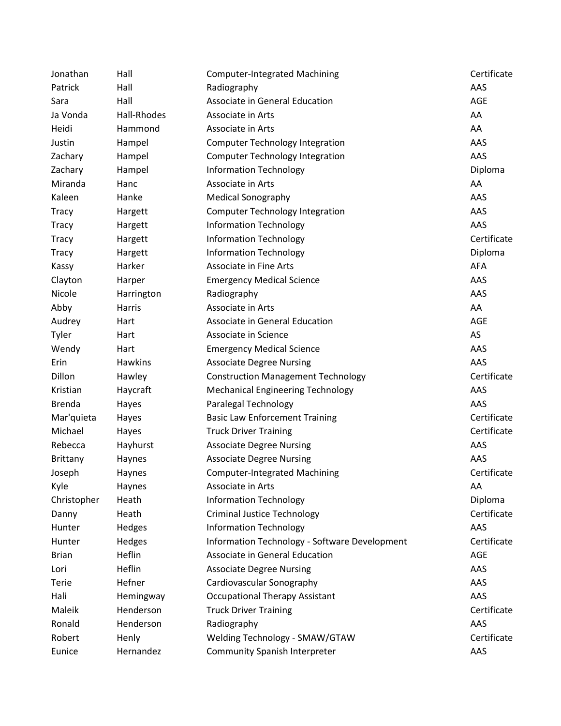| Jonathan        | Hall        | <b>Computer-Integrated Machining</b>          | Certificate |
|-----------------|-------------|-----------------------------------------------|-------------|
| Patrick         | Hall        | Radiography                                   | AAS         |
| Sara            | Hall        | Associate in General Education                | AGE         |
| Ja Vonda        | Hall-Rhodes | Associate in Arts                             | AA          |
| Heidi           | Hammond     | Associate in Arts                             | AA          |
| Justin          | Hampel      | <b>Computer Technology Integration</b>        | AAS         |
| Zachary         | Hampel      | <b>Computer Technology Integration</b>        | AAS         |
| Zachary         | Hampel      | <b>Information Technology</b>                 | Diploma     |
| Miranda         | Hanc        | Associate in Arts                             | AA          |
| Kaleen          | Hanke       | <b>Medical Sonography</b>                     | AAS         |
| <b>Tracy</b>    | Hargett     | <b>Computer Technology Integration</b>        | AAS         |
| <b>Tracy</b>    | Hargett     | <b>Information Technology</b>                 | AAS         |
| Tracy           | Hargett     | <b>Information Technology</b>                 | Certificate |
| <b>Tracy</b>    | Hargett     | <b>Information Technology</b>                 | Diploma     |
| Kassy           | Harker      | <b>Associate in Fine Arts</b>                 | AFA         |
| Clayton         | Harper      | <b>Emergency Medical Science</b>              | AAS         |
| Nicole          | Harrington  | Radiography                                   | AAS         |
| Abby            | Harris      | Associate in Arts                             | AA          |
| Audrey          | Hart        | Associate in General Education                | AGE         |
| Tyler           | Hart        | Associate in Science                          | AS          |
| Wendy           | Hart        | <b>Emergency Medical Science</b>              | AAS         |
| Erin            | Hawkins     | <b>Associate Degree Nursing</b>               | AAS         |
| Dillon          | Hawley      | <b>Construction Management Technology</b>     | Certificate |
| Kristian        | Haycraft    | <b>Mechanical Engineering Technology</b>      | AAS         |
| <b>Brenda</b>   | Hayes       | Paralegal Technology                          | AAS         |
| Mar'quieta      | Hayes       | <b>Basic Law Enforcement Training</b>         | Certificate |
| Michael         | Hayes       | <b>Truck Driver Training</b>                  | Certificate |
| Rebecca         | Hayhurst    | <b>Associate Degree Nursing</b>               | AAS         |
| <b>Brittany</b> | Haynes      | <b>Associate Degree Nursing</b>               | AAS         |
| Joseph          | Haynes      | <b>Computer-Integrated Machining</b>          | Certificate |
| Kyle            | Haynes      | Associate in Arts                             | AA          |
| Christopher     | Heath       | <b>Information Technology</b>                 | Diploma     |
| Danny           | Heath       | <b>Criminal Justice Technology</b>            | Certificate |
| Hunter          | Hedges      | <b>Information Technology</b>                 | AAS         |
| Hunter          | Hedges      | Information Technology - Software Development | Certificate |
| <b>Brian</b>    | Heflin      | Associate in General Education                | AGE         |
| Lori            | Heflin      | <b>Associate Degree Nursing</b>               | AAS         |
| Terie           | Hefner      | Cardiovascular Sonography                     | AAS         |
| Hali            | Hemingway   | <b>Occupational Therapy Assistant</b>         | AAS         |
| Maleik          | Henderson   | <b>Truck Driver Training</b>                  | Certificate |
| Ronald          | Henderson   | Radiography                                   | AAS         |
| Robert          | Henly       | Welding Technology - SMAW/GTAW                | Certificate |
| Eunice          | Hernandez   | <b>Community Spanish Interpreter</b>          | AAS         |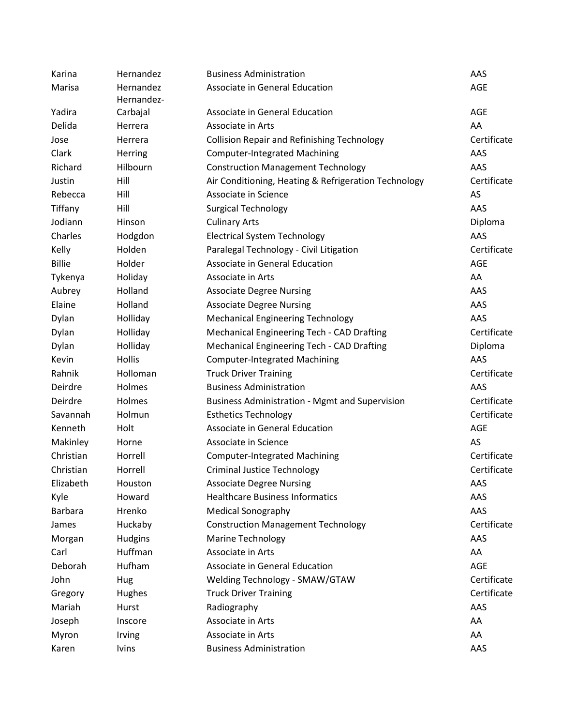| Karina         | Hernandez    | <b>Business Administration</b>                        | AAS         |
|----------------|--------------|-------------------------------------------------------|-------------|
| Marisa         | Hernandez    | Associate in General Education                        | <b>AGE</b>  |
|                | Hernandez-   |                                                       |             |
| Yadira         | Carbajal     | Associate in General Education                        | <b>AGE</b>  |
| Delida         | Herrera      | Associate in Arts                                     | AA          |
| Jose           | Herrera      | <b>Collision Repair and Refinishing Technology</b>    | Certificate |
| Clark          | Herring      | <b>Computer-Integrated Machining</b>                  | AAS         |
| Richard        | Hilbourn     | <b>Construction Management Technology</b>             | AAS         |
| Justin         | Hill         | Air Conditioning, Heating & Refrigeration Technology  | Certificate |
| Rebecca        | Hill         | Associate in Science                                  | AS          |
| Tiffany        | Hill         | <b>Surgical Technology</b>                            | AAS         |
| Jodiann        | Hinson       | <b>Culinary Arts</b>                                  | Diploma     |
| Charles        | Hodgdon      | <b>Electrical System Technology</b>                   | AAS         |
| Kelly          | Holden       | Paralegal Technology - Civil Litigation               | Certificate |
| <b>Billie</b>  | Holder       | Associate in General Education                        | <b>AGE</b>  |
| Tykenya        | Holiday      | Associate in Arts                                     | AA          |
| Aubrey         | Holland      | <b>Associate Degree Nursing</b>                       | AAS         |
| Elaine         | Holland      | <b>Associate Degree Nursing</b>                       | AAS         |
| Dylan          | Holliday     | <b>Mechanical Engineering Technology</b>              | AAS         |
| Dylan          | Holliday     | Mechanical Engineering Tech - CAD Drafting            | Certificate |
| Dylan          | Holliday     | Mechanical Engineering Tech - CAD Drafting            | Diploma     |
| Kevin          | Hollis       | <b>Computer-Integrated Machining</b>                  | AAS         |
| Rahnik         | Holloman     | <b>Truck Driver Training</b>                          | Certificate |
| Deirdre        | Holmes       | <b>Business Administration</b>                        | AAS         |
| Deirdre        | Holmes       | <b>Business Administration - Mgmt and Supervision</b> | Certificate |
| Savannah       | Holmun       | <b>Esthetics Technology</b>                           | Certificate |
| Kenneth        | Holt         | Associate in General Education                        | <b>AGE</b>  |
| Makinley       | Horne        | Associate in Science                                  | AS          |
| Christian      | Horrell      | <b>Computer-Integrated Machining</b>                  | Certificate |
| Christian      | Horrell      | <b>Criminal Justice Technology</b>                    | Certificate |
| Elizabeth      | Houston      | <b>Associate Degree Nursing</b>                       | AAS         |
| Kyle           | Howard       | <b>Healthcare Business Informatics</b>                | AAS         |
| <b>Barbara</b> | Hrenko       | <b>Medical Sonography</b>                             | AAS         |
| James          | Huckaby      | <b>Construction Management Technology</b>             | Certificate |
| Morgan         | Hudgins      | <b>Marine Technology</b>                              | AAS         |
| Carl           | Huffman      | Associate in Arts                                     | AA          |
| Deborah        | Hufham       | Associate in General Education                        | <b>AGE</b>  |
| John           | <b>Hug</b>   | Welding Technology - SMAW/GTAW                        | Certificate |
| Gregory        | Hughes       | <b>Truck Driver Training</b>                          | Certificate |
| Mariah         | Hurst        | Radiography                                           | AAS         |
| Joseph         | Inscore      | Associate in Arts                                     | AA          |
| Myron          | Irving       | Associate in Arts                                     | AA          |
| Karen          | <b>lvins</b> | <b>Business Administration</b>                        | AAS         |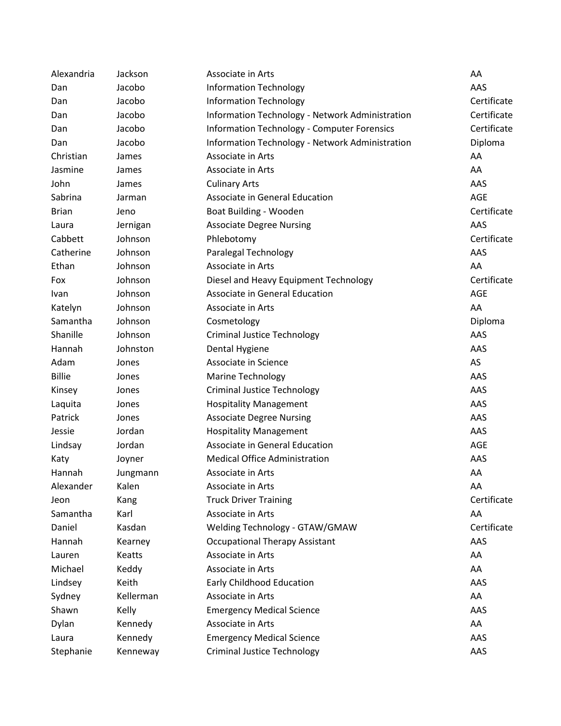| Alexandria    | Jackson   | Associate in Arts                                  | AA          |
|---------------|-----------|----------------------------------------------------|-------------|
| Dan           | Jacobo    | <b>Information Technology</b>                      | AAS         |
| Dan           | Jacobo    | <b>Information Technology</b>                      | Certificate |
| Dan           | Jacobo    | Information Technology - Network Administration    | Certificate |
| Dan           | Jacobo    | <b>Information Technology - Computer Forensics</b> | Certificate |
| Dan           | Jacobo    | Information Technology - Network Administration    | Diploma     |
| Christian     | James     | Associate in Arts                                  | AA          |
| Jasmine       | James     | Associate in Arts                                  | AA          |
| John          | James     | <b>Culinary Arts</b>                               | AAS         |
| Sabrina       | Jarman    | Associate in General Education                     | <b>AGE</b>  |
| <b>Brian</b>  | Jeno      | Boat Building - Wooden                             | Certificate |
| Laura         | Jernigan  | <b>Associate Degree Nursing</b>                    | AAS         |
| Cabbett       | Johnson   | Phlebotomy                                         | Certificate |
| Catherine     | Johnson   | Paralegal Technology                               | AAS         |
| Ethan         | Johnson   | Associate in Arts                                  | AA          |
| Fox           | Johnson   | Diesel and Heavy Equipment Technology              | Certificate |
| Ivan          | Johnson   | Associate in General Education                     | <b>AGE</b>  |
| Katelyn       | Johnson   | Associate in Arts                                  | AA          |
| Samantha      | Johnson   | Cosmetology                                        | Diploma     |
| Shanille      | Johnson   | <b>Criminal Justice Technology</b>                 | AAS         |
| Hannah        | Johnston  | Dental Hygiene                                     | AAS         |
| Adam          | Jones     | Associate in Science                               | AS          |
| <b>Billie</b> | Jones     | <b>Marine Technology</b>                           | AAS         |
| Kinsey        | Jones     | <b>Criminal Justice Technology</b>                 | AAS         |
| Laquita       | Jones     | <b>Hospitality Management</b>                      | AAS         |
| Patrick       | Jones     | <b>Associate Degree Nursing</b>                    | AAS         |
| Jessie        | Jordan    | <b>Hospitality Management</b>                      | AAS         |
| Lindsay       | Jordan    | Associate in General Education                     | <b>AGE</b>  |
| Katy          | Joyner    | <b>Medical Office Administration</b>               | AAS         |
| Hannah        | Jungmann  | Associate in Arts                                  | AA          |
| Alexander     | Kalen     | Associate in Arts                                  | AA          |
| Jeon          | Kang      | <b>Truck Driver Training</b>                       | Certificate |
| Samantha      | Karl      | Associate in Arts                                  | AA          |
| Daniel        | Kasdan    | Welding Technology - GTAW/GMAW                     | Certificate |
| Hannah        | Kearney   | <b>Occupational Therapy Assistant</b>              | AAS         |
| Lauren        | Keatts    | Associate in Arts                                  | AA          |
| Michael       | Keddy     | Associate in Arts                                  | AA          |
| Lindsey       | Keith     | <b>Early Childhood Education</b>                   | AAS         |
| Sydney        | Kellerman | Associate in Arts                                  | AA          |
| Shawn         | Kelly     | <b>Emergency Medical Science</b>                   | AAS         |
| Dylan         | Kennedy   | Associate in Arts                                  | AA          |
| Laura         | Kennedy   | <b>Emergency Medical Science</b>                   | AAS         |
| Stephanie     | Kenneway  | <b>Criminal Justice Technology</b>                 | AAS         |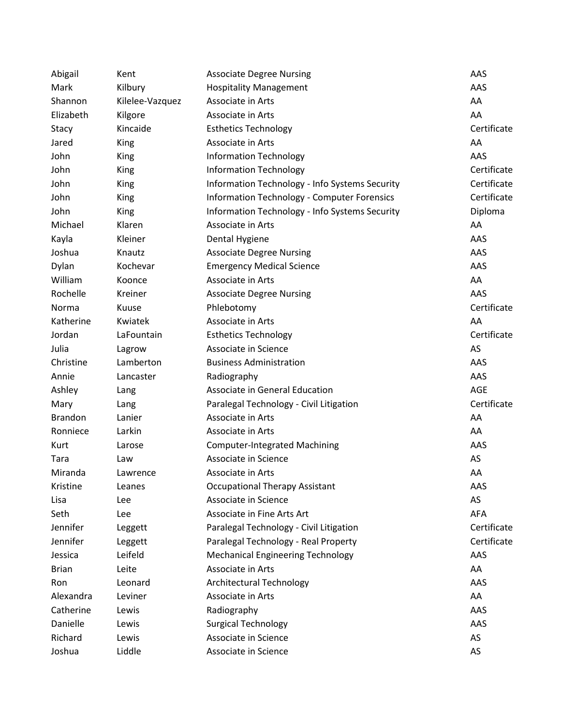| Abigail        | Kent            | <b>Associate Degree Nursing</b>                    | AAS         |
|----------------|-----------------|----------------------------------------------------|-------------|
| Mark           | Kilbury         | <b>Hospitality Management</b>                      | AAS         |
| Shannon        | Kilelee-Vazquez | Associate in Arts                                  | AA          |
| Elizabeth      | Kilgore         | Associate in Arts                                  | AA          |
| Stacy          | Kincaide        | <b>Esthetics Technology</b>                        | Certificate |
| Jared          | <b>King</b>     | Associate in Arts                                  | AA          |
| John           | King            | <b>Information Technology</b>                      | AAS         |
| John           | <b>King</b>     | <b>Information Technology</b>                      | Certificate |
| John           | <b>King</b>     | Information Technology - Info Systems Security     | Certificate |
| John           | <b>King</b>     | <b>Information Technology - Computer Forensics</b> | Certificate |
| John           | King            | Information Technology - Info Systems Security     | Diploma     |
| Michael        | Klaren          | Associate in Arts                                  | AA          |
| Kayla          | Kleiner         | Dental Hygiene                                     | AAS         |
| Joshua         | Knautz          | <b>Associate Degree Nursing</b>                    | AAS         |
| Dylan          | Kochevar        | <b>Emergency Medical Science</b>                   | AAS         |
| William        | Koonce          | Associate in Arts                                  | AA          |
| Rochelle       | Kreiner         | <b>Associate Degree Nursing</b>                    | AAS         |
| Norma          | Kuuse           | Phlebotomy                                         | Certificate |
| Katherine      | Kwiatek         | Associate in Arts                                  | AA          |
| Jordan         | LaFountain      | <b>Esthetics Technology</b>                        | Certificate |
| Julia          | Lagrow          | Associate in Science                               | AS          |
| Christine      | Lamberton       | <b>Business Administration</b>                     | AAS         |
| Annie          | Lancaster       | Radiography                                        | AAS         |
| Ashley         | Lang            | Associate in General Education                     | AGE         |
| Mary           | Lang            | Paralegal Technology - Civil Litigation            | Certificate |
| <b>Brandon</b> | Lanier          | Associate in Arts                                  | AA          |
| Ronniece       | Larkin          | Associate in Arts                                  | AA          |
| Kurt           | Larose          | <b>Computer-Integrated Machining</b>               | AAS         |
| Tara           | Law             | Associate in Science                               | AS          |
| Miranda        | Lawrence        | Associate in Arts                                  | AA          |
| Kristine       | Leanes          | <b>Occupational Therapy Assistant</b>              | AAS         |
| Lisa           | Lee             | Associate in Science                               | AS          |
| Seth           | Lee             | Associate in Fine Arts Art                         | <b>AFA</b>  |
| Jennifer       | Leggett         | Paralegal Technology - Civil Litigation            | Certificate |
| Jennifer       | Leggett         | Paralegal Technology - Real Property               | Certificate |
| Jessica        | Leifeld         | <b>Mechanical Engineering Technology</b>           | AAS         |
| <b>Brian</b>   | Leite           | Associate in Arts                                  | AA          |
| Ron            | Leonard         | <b>Architectural Technology</b>                    | AAS         |
| Alexandra      | Leviner         | Associate in Arts                                  | AA          |
| Catherine      | Lewis           | Radiography                                        | AAS         |
| Danielle       | Lewis           | <b>Surgical Technology</b>                         | AAS         |
| Richard        | Lewis           | Associate in Science                               | AS          |
| Joshua         | Liddle          | Associate in Science                               | AS          |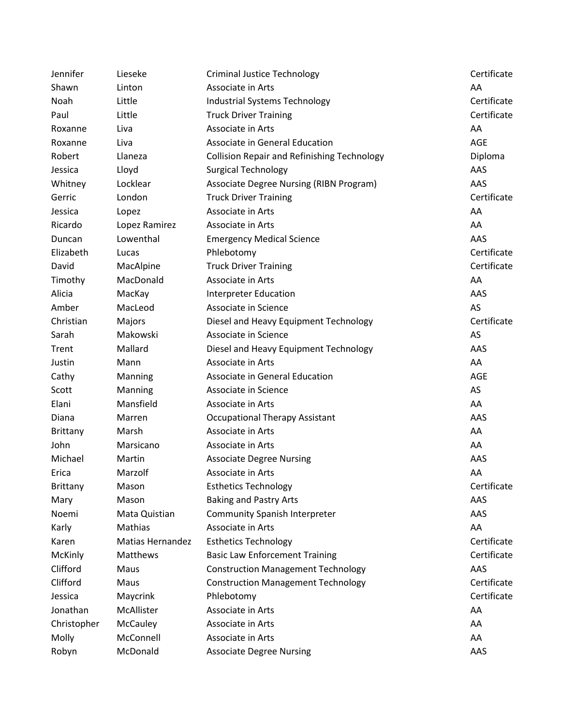| Jennifer        | Lieseke          | <b>Criminal Justice Technology</b>                 | Certificate |
|-----------------|------------------|----------------------------------------------------|-------------|
| Shawn           | Linton           | Associate in Arts                                  | AA          |
| Noah            | Little           | Industrial Systems Technology                      | Certificate |
| Paul            | Little           | <b>Truck Driver Training</b>                       | Certificate |
| Roxanne         | Liva             | Associate in Arts                                  | AA          |
| Roxanne         | Liva             | Associate in General Education                     | <b>AGE</b>  |
| Robert          | Llaneza          | <b>Collision Repair and Refinishing Technology</b> | Diploma     |
| Jessica         | Lloyd            | <b>Surgical Technology</b>                         | AAS         |
| Whitney         | Locklear         | Associate Degree Nursing (RIBN Program)            | AAS         |
| Gerric          | London           | <b>Truck Driver Training</b>                       | Certificate |
| Jessica         | Lopez            | Associate in Arts                                  | AA          |
| Ricardo         | Lopez Ramirez    | Associate in Arts                                  | AA          |
| Duncan          | Lowenthal        | <b>Emergency Medical Science</b>                   | AAS         |
| Elizabeth       | Lucas            | Phlebotomy                                         | Certificate |
| David           | MacAlpine        | <b>Truck Driver Training</b>                       | Certificate |
| Timothy         | MacDonald        | Associate in Arts                                  | AA          |
| Alicia          | MacKay           | <b>Interpreter Education</b>                       | AAS         |
| Amber           | MacLeod          | Associate in Science                               | AS          |
| Christian       | Majors           | Diesel and Heavy Equipment Technology              | Certificate |
| Sarah           | Makowski         | Associate in Science                               | AS          |
| Trent           | Mallard          | Diesel and Heavy Equipment Technology              | AAS         |
| Justin          | Mann             | Associate in Arts                                  | AA          |
| Cathy           | Manning          | Associate in General Education                     | AGE         |
| Scott           | Manning          | Associate in Science                               | AS          |
| Elani           | Mansfield        | Associate in Arts                                  | AA          |
| Diana           | Marren           | <b>Occupational Therapy Assistant</b>              | AAS         |
| <b>Brittany</b> | Marsh            | Associate in Arts                                  | AA          |
| John            | Marsicano        | Associate in Arts                                  | AA          |
| Michael         | Martin           | <b>Associate Degree Nursing</b>                    | AAS         |
| Erica           | Marzolf          | Associate in Arts                                  | AA          |
| <b>Brittany</b> | Mason            | <b>Esthetics Technology</b>                        | Certificate |
| Mary            | Mason            | <b>Baking and Pastry Arts</b>                      | AAS         |
| Noemi           | Mata Quistian    | <b>Community Spanish Interpreter</b>               | AAS         |
| Karly           | Mathias          | Associate in Arts                                  | AA          |
| Karen           | Matias Hernandez | <b>Esthetics Technology</b>                        | Certificate |
| McKinly         | Matthews         | <b>Basic Law Enforcement Training</b>              | Certificate |
| Clifford        | Maus             | <b>Construction Management Technology</b>          | AAS         |
| Clifford        | Maus             | <b>Construction Management Technology</b>          | Certificate |
| Jessica         | Maycrink         | Phlebotomy                                         | Certificate |
| Jonathan        | McAllister       | Associate in Arts                                  | AA          |
| Christopher     | McCauley         | Associate in Arts                                  | AA          |
| Molly           | McConnell        | Associate in Arts                                  | AA          |
| Robyn           | McDonald         | <b>Associate Degree Nursing</b>                    | AAS         |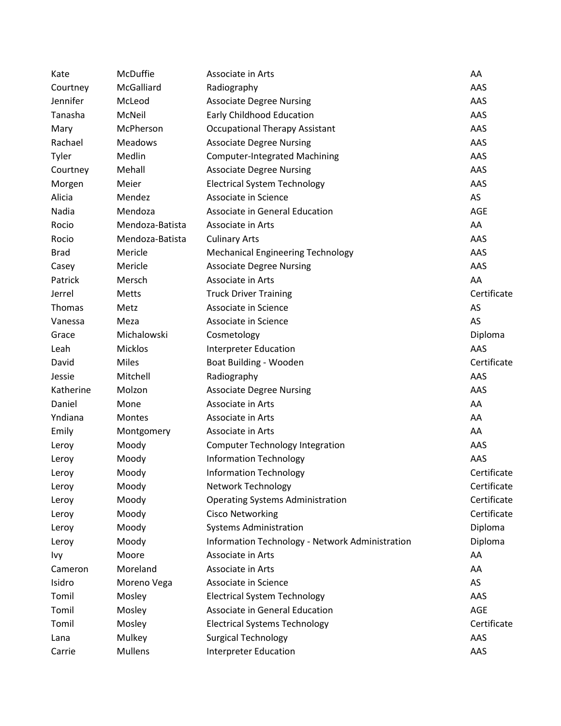| Kate        | McDuffie        | Associate in Arts                               | AA          |
|-------------|-----------------|-------------------------------------------------|-------------|
| Courtney    | McGalliard      | Radiography                                     | AAS         |
| Jennifer    | McLeod          | <b>Associate Degree Nursing</b>                 | AAS         |
| Tanasha     | McNeil          | Early Childhood Education                       | AAS         |
| Mary        | McPherson       | <b>Occupational Therapy Assistant</b>           | AAS         |
| Rachael     | <b>Meadows</b>  | <b>Associate Degree Nursing</b>                 | AAS         |
| Tyler       | Medlin          | <b>Computer-Integrated Machining</b>            | AAS         |
| Courtney    | Mehall          | <b>Associate Degree Nursing</b>                 | AAS         |
| Morgen      | Meier           | <b>Electrical System Technology</b>             | AAS         |
| Alicia      | Mendez          | Associate in Science                            | AS          |
| Nadia       | Mendoza         | Associate in General Education                  | AGE         |
| Rocio       | Mendoza-Batista | Associate in Arts                               | AA          |
| Rocio       | Mendoza-Batista | <b>Culinary Arts</b>                            | AAS         |
| <b>Brad</b> | Mericle         | <b>Mechanical Engineering Technology</b>        | AAS         |
| Casey       | Mericle         | <b>Associate Degree Nursing</b>                 | AAS         |
| Patrick     | Mersch          | Associate in Arts                               | AA          |
| Jerrel      | <b>Metts</b>    | <b>Truck Driver Training</b>                    | Certificate |
| Thomas      | Metz            | Associate in Science                            | AS          |
| Vanessa     | Meza            | Associate in Science                            | AS          |
| Grace       | Michalowski     | Cosmetology                                     | Diploma     |
| Leah        | Micklos         | <b>Interpreter Education</b>                    | AAS         |
| David       | <b>Miles</b>    | Boat Building - Wooden                          | Certificate |
| Jessie      | Mitchell        | Radiography                                     | AAS         |
| Katherine   | Molzon          | <b>Associate Degree Nursing</b>                 | AAS         |
| Daniel      | Mone            | Associate in Arts                               | AA          |
| Yndiana     | <b>Montes</b>   | Associate in Arts                               | AA          |
| Emily       | Montgomery      | Associate in Arts                               | AA          |
| Leroy       | Moody           | <b>Computer Technology Integration</b>          | AAS         |
| Leroy       | Moody           | <b>Information Technology</b>                   | AAS         |
| Leroy       | Moody           | <b>Information Technology</b>                   | Certificate |
| Leroy       | Moody           | <b>Network Technology</b>                       | Certificate |
| Leroy       | Moody           | <b>Operating Systems Administration</b>         | Certificate |
| Leroy       | Moody           | <b>Cisco Networking</b>                         | Certificate |
| Leroy       | Moody           | <b>Systems Administration</b>                   | Diploma     |
| Leroy       | Moody           | Information Technology - Network Administration | Diploma     |
| Ivy         | Moore           | Associate in Arts                               | AA          |
| Cameron     | Moreland        | Associate in Arts                               | AA          |
| Isidro      | Moreno Vega     | Associate in Science                            | AS          |
| Tomil       | Mosley          | <b>Electrical System Technology</b>             | AAS         |
| Tomil       | Mosley          | Associate in General Education                  | AGE         |
| Tomil       | Mosley          | <b>Electrical Systems Technology</b>            | Certificate |
| Lana        | Mulkey          | <b>Surgical Technology</b>                      | AAS         |
| Carrie      | <b>Mullens</b>  | <b>Interpreter Education</b>                    | AAS         |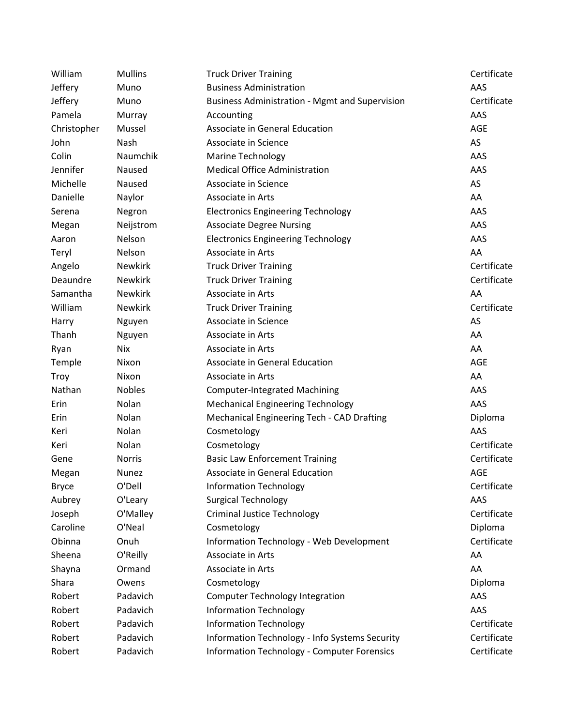| William      | <b>Mullins</b> | <b>Truck Driver Training</b>                          | Certificate |
|--------------|----------------|-------------------------------------------------------|-------------|
| Jeffery      | Muno           | <b>Business Administration</b>                        | AAS         |
| Jeffery      | Muno           | <b>Business Administration - Mgmt and Supervision</b> | Certificate |
| Pamela       | Murray         | Accounting                                            | AAS         |
| Christopher  | Mussel         | Associate in General Education                        | AGE         |
| John         | Nash           | Associate in Science                                  | AS          |
| Colin        | Naumchik       | <b>Marine Technology</b>                              | AAS         |
| Jennifer     | Naused         | <b>Medical Office Administration</b>                  | AAS         |
| Michelle     | Naused         | Associate in Science                                  | AS          |
| Danielle     | Naylor         | Associate in Arts                                     | AA          |
| Serena       | Negron         | <b>Electronics Engineering Technology</b>             | AAS         |
| Megan        | Neijstrom      | <b>Associate Degree Nursing</b>                       | AAS         |
| Aaron        | Nelson         | <b>Electronics Engineering Technology</b>             | AAS         |
| Teryl        | Nelson         | Associate in Arts                                     | AA          |
| Angelo       | <b>Newkirk</b> | <b>Truck Driver Training</b>                          | Certificate |
| Deaundre     | <b>Newkirk</b> | <b>Truck Driver Training</b>                          | Certificate |
| Samantha     | <b>Newkirk</b> | Associate in Arts                                     | AA          |
| William      | <b>Newkirk</b> | <b>Truck Driver Training</b>                          | Certificate |
| Harry        | Nguyen         | Associate in Science                                  | AS          |
| Thanh        | Nguyen         | Associate in Arts                                     | AA          |
| Ryan         | Nix            | Associate in Arts                                     | AA          |
| Temple       | Nixon          | Associate in General Education                        | AGE         |
| Troy         | Nixon          | Associate in Arts                                     | AA          |
| Nathan       | <b>Nobles</b>  | <b>Computer-Integrated Machining</b>                  | AAS         |
| Erin         | Nolan          | <b>Mechanical Engineering Technology</b>              | AAS         |
| Erin         | Nolan          | Mechanical Engineering Tech - CAD Drafting            | Diploma     |
| Keri         | Nolan          | Cosmetology                                           | AAS         |
| Keri         | Nolan          | Cosmetology                                           | Certificate |
| Gene         | <b>Norris</b>  | <b>Basic Law Enforcement Training</b>                 | Certificate |
| Megan        | Nunez          | Associate in General Education                        | AGE         |
| <b>Bryce</b> | O'Dell         | <b>Information Technology</b>                         | Certificate |
| Aubrey       | O'Leary        | <b>Surgical Technology</b>                            | AAS         |
| Joseph       | O'Malley       | <b>Criminal Justice Technology</b>                    | Certificate |
| Caroline     | O'Neal         | Cosmetology                                           | Diploma     |
| Obinna       | Onuh           | Information Technology - Web Development              | Certificate |
| Sheena       | O'Reilly       | Associate in Arts                                     | AA          |
| Shayna       | Ormand         | Associate in Arts                                     | AA          |
| Shara        | Owens          | Cosmetology                                           | Diploma     |
| Robert       | Padavich       | <b>Computer Technology Integration</b>                | AAS         |
| Robert       | Padavich       | <b>Information Technology</b>                         | AAS         |
| Robert       | Padavich       | <b>Information Technology</b>                         | Certificate |
| Robert       | Padavich       | Information Technology - Info Systems Security        | Certificate |
| Robert       | Padavich       | <b>Information Technology - Computer Forensics</b>    | Certificate |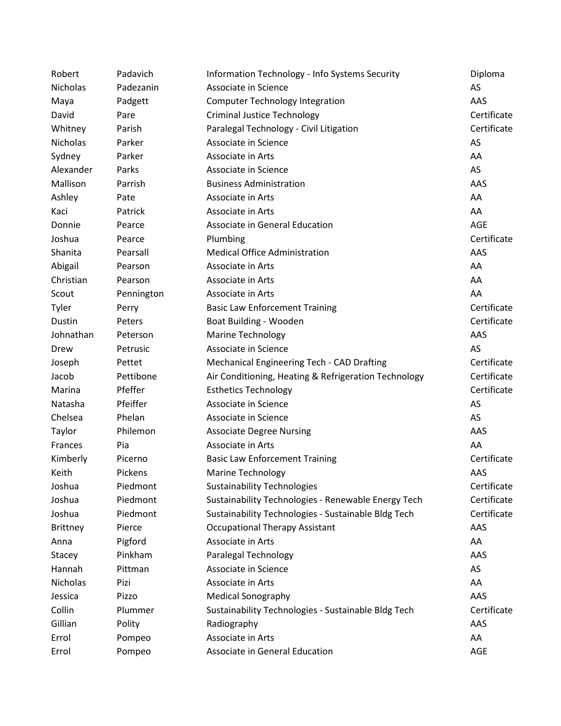| Robert          | Padavich   | Information Technology - Info Systems Security       | Diploma     |
|-----------------|------------|------------------------------------------------------|-------------|
| <b>Nicholas</b> | Padezanin  | Associate in Science                                 | AS          |
| Maya            | Padgett    | <b>Computer Technology Integration</b>               | AAS         |
| David           | Pare       | <b>Criminal Justice Technology</b>                   | Certificate |
| Whitney         | Parish     | Paralegal Technology - Civil Litigation              | Certificate |
| <b>Nicholas</b> | Parker     | Associate in Science                                 | AS          |
| Sydney          | Parker     | Associate in Arts                                    | AA          |
| Alexander       | Parks      | Associate in Science                                 | AS          |
| Mallison        | Parrish    | <b>Business Administration</b>                       | AAS         |
| Ashley          | Pate       | Associate in Arts                                    | AA          |
| Kaci            | Patrick    | Associate in Arts                                    | AA          |
| Donnie          | Pearce     | Associate in General Education                       | AGE         |
| Joshua          | Pearce     | Plumbing                                             | Certificate |
| Shanita         | Pearsall   | <b>Medical Office Administration</b>                 | AAS         |
| Abigail         | Pearson    | Associate in Arts                                    | AA          |
| Christian       | Pearson    | Associate in Arts                                    | AA          |
| Scout           | Pennington | Associate in Arts                                    | AA          |
| Tyler           | Perry      | <b>Basic Law Enforcement Training</b>                | Certificate |
| Dustin          | Peters     | Boat Building - Wooden                               | Certificate |
| Johnathan       | Peterson   | <b>Marine Technology</b>                             | AAS         |
| Drew            | Petrusic   | Associate in Science                                 | AS          |
| Joseph          | Pettet     | Mechanical Engineering Tech - CAD Drafting           | Certificate |
| Jacob           | Pettibone  | Air Conditioning, Heating & Refrigeration Technology | Certificate |
| Marina          | Pfeffer    | <b>Esthetics Technology</b>                          | Certificate |
| Natasha         | Pfeiffer   | Associate in Science                                 | AS          |
| Chelsea         | Phelan     | Associate in Science                                 | AS          |
| Taylor          | Philemon   | <b>Associate Degree Nursing</b>                      | AAS         |
| Frances         | Pia        | Associate in Arts                                    | AA          |
| Kimberly        | Picerno    | <b>Basic Law Enforcement Training</b>                | Certificate |
| Keith           | Pickens    | <b>Marine Technology</b>                             | AAS         |
| Joshua          | Piedmont   | <b>Sustainability Technologies</b>                   | Certificate |
| Joshua          | Piedmont   | Sustainability Technologies - Renewable Energy Tech  | Certificate |
| Joshua          | Piedmont   | Sustainability Technologies - Sustainable Bldg Tech  | Certificate |
| <b>Brittney</b> | Pierce     | <b>Occupational Therapy Assistant</b>                | AAS         |
| Anna            | Pigford    | Associate in Arts                                    | AA          |
| Stacey          | Pinkham    | Paralegal Technology                                 | AAS         |
| Hannah          | Pittman    | Associate in Science                                 | AS          |
| Nicholas        | Pizi       | Associate in Arts                                    | AA          |
| Jessica         | Pizzo      | <b>Medical Sonography</b>                            | AAS         |
| Collin          | Plummer    | Sustainability Technologies - Sustainable Bldg Tech  | Certificate |
| Gillian         | Polity     | Radiography                                          | AAS         |
| Errol           | Pompeo     | Associate in Arts                                    | AA          |
| Errol           | Pompeo     | Associate in General Education                       | AGE         |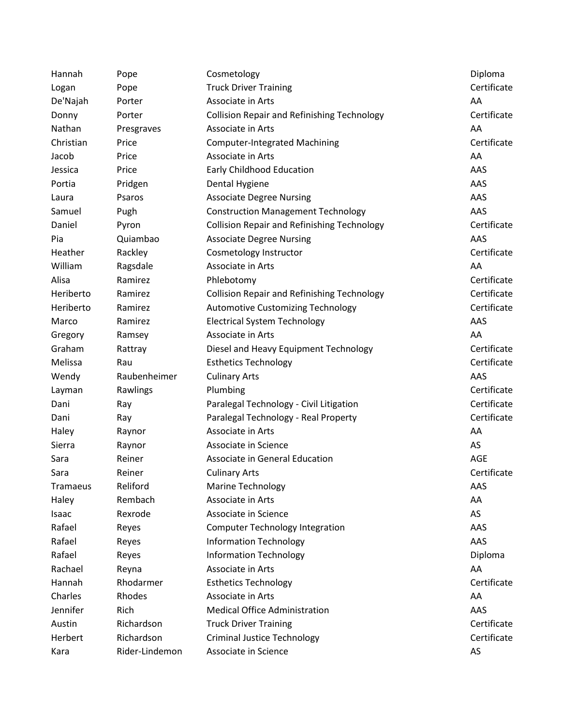| Hannah    | Pope           | Cosmetology                                        | Diploma     |
|-----------|----------------|----------------------------------------------------|-------------|
| Logan     | Pope           | <b>Truck Driver Training</b>                       | Certificate |
| De'Najah  | Porter         | Associate in Arts                                  | AA          |
| Donny     | Porter         | <b>Collision Repair and Refinishing Technology</b> | Certificate |
| Nathan    | Presgraves     | Associate in Arts                                  | AA          |
| Christian | Price          | <b>Computer-Integrated Machining</b>               | Certificate |
| Jacob     | Price          | Associate in Arts                                  | AA          |
| Jessica   | Price          | Early Childhood Education                          | AAS         |
| Portia    | Pridgen        | Dental Hygiene                                     | AAS         |
| Laura     | Psaros         | <b>Associate Degree Nursing</b>                    | AAS         |
| Samuel    | Pugh           | <b>Construction Management Technology</b>          | AAS         |
| Daniel    | Pyron          | <b>Collision Repair and Refinishing Technology</b> | Certificate |
| Pia       | Quiambao       | <b>Associate Degree Nursing</b>                    | AAS         |
| Heather   | Rackley        | Cosmetology Instructor                             | Certificate |
| William   | Ragsdale       | Associate in Arts                                  | AA          |
| Alisa     | Ramirez        | Phlebotomy                                         | Certificate |
| Heriberto | Ramirez        | <b>Collision Repair and Refinishing Technology</b> | Certificate |
| Heriberto | Ramirez        | <b>Automotive Customizing Technology</b>           | Certificate |
| Marco     | Ramirez        | <b>Electrical System Technology</b>                | AAS         |
| Gregory   | Ramsey         | Associate in Arts                                  | AA          |
| Graham    | Rattray        | Diesel and Heavy Equipment Technology              | Certificate |
| Melissa   | Rau            | <b>Esthetics Technology</b>                        | Certificate |
| Wendy     | Raubenheimer   | <b>Culinary Arts</b>                               | AAS         |
| Layman    | Rawlings       | Plumbing                                           | Certificate |
| Dani      | Ray            | Paralegal Technology - Civil Litigation            | Certificate |
| Dani      | Ray            | Paralegal Technology - Real Property               | Certificate |
| Haley     | Raynor         | Associate in Arts                                  | AA          |
| Sierra    | Raynor         | Associate in Science                               | AS          |
| Sara      | Reiner         | Associate in General Education                     | <b>AGE</b>  |
| Sara      | Reiner         | <b>Culinary Arts</b>                               | Certificate |
| Tramaeus  | Reliford       | <b>Marine Technology</b>                           | AAS         |
| Haley     | Rembach        | Associate in Arts                                  | AA          |
| Isaac     | Rexrode        | Associate in Science                               | AS          |
| Rafael    | Reyes          | <b>Computer Technology Integration</b>             | AAS         |
| Rafael    | Reyes          | <b>Information Technology</b>                      | AAS         |
| Rafael    | Reyes          | <b>Information Technology</b>                      | Diploma     |
| Rachael   | Reyna          | Associate in Arts                                  | AA          |
| Hannah    | Rhodarmer      | <b>Esthetics Technology</b>                        | Certificate |
| Charles   | Rhodes         | Associate in Arts                                  | AA          |
| Jennifer  | Rich           | <b>Medical Office Administration</b>               | AAS         |
| Austin    | Richardson     | <b>Truck Driver Training</b>                       | Certificate |
| Herbert   | Richardson     | <b>Criminal Justice Technology</b>                 | Certificate |
| Kara      | Rider-Lindemon | Associate in Science                               | AS          |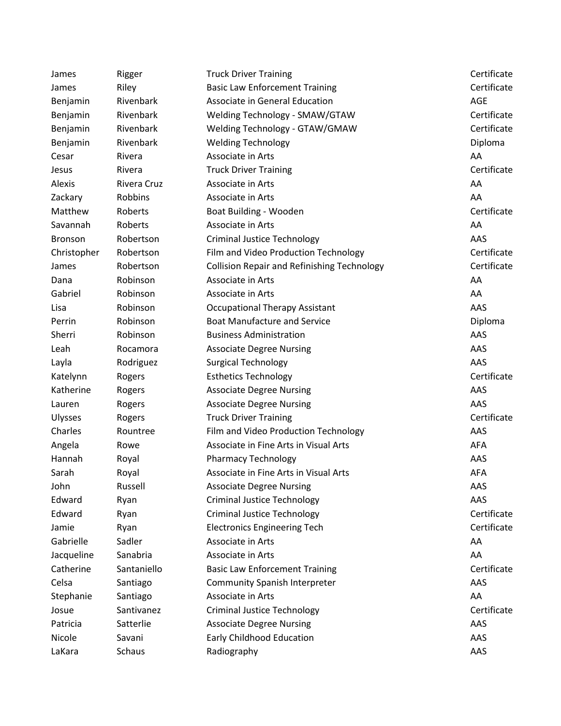| James          | Rigger      | <b>Truck Driver Training</b>                       | Certificate |
|----------------|-------------|----------------------------------------------------|-------------|
| James          | Riley       | <b>Basic Law Enforcement Training</b>              | Certificate |
| Benjamin       | Rivenbark   | Associate in General Education                     | AGE         |
| Benjamin       | Rivenbark   | Welding Technology - SMAW/GTAW                     | Certificate |
| Benjamin       | Rivenbark   | Welding Technology - GTAW/GMAW                     | Certificate |
| Benjamin       | Rivenbark   | <b>Welding Technology</b>                          | Diploma     |
| Cesar          | Rivera      | Associate in Arts                                  | AA          |
| Jesus          | Rivera      | <b>Truck Driver Training</b>                       | Certificate |
| Alexis         | Rivera Cruz | Associate in Arts                                  | AA          |
| Zackary        | Robbins     | Associate in Arts                                  | AA          |
| Matthew        | Roberts     | Boat Building - Wooden                             | Certificate |
| Savannah       | Roberts     | Associate in Arts                                  | AA          |
| <b>Bronson</b> | Robertson   | <b>Criminal Justice Technology</b>                 | AAS         |
| Christopher    | Robertson   | Film and Video Production Technology               | Certificate |
| James          | Robertson   | <b>Collision Repair and Refinishing Technology</b> | Certificate |
| Dana           | Robinson    | Associate in Arts                                  | AA          |
| Gabriel        | Robinson    | Associate in Arts                                  | AA          |
| Lisa           | Robinson    | <b>Occupational Therapy Assistant</b>              | AAS         |
| Perrin         | Robinson    | <b>Boat Manufacture and Service</b>                | Diploma     |
| Sherri         | Robinson    | <b>Business Administration</b>                     | AAS         |
| Leah           | Rocamora    | <b>Associate Degree Nursing</b>                    | AAS         |
| Layla          | Rodriguez   | <b>Surgical Technology</b>                         | AAS         |
| Katelynn       | Rogers      | <b>Esthetics Technology</b>                        | Certificate |
| Katherine      | Rogers      | <b>Associate Degree Nursing</b>                    | AAS         |
| Lauren         | Rogers      | <b>Associate Degree Nursing</b>                    | AAS         |
| <b>Ulysses</b> | Rogers      | <b>Truck Driver Training</b>                       | Certificate |
| Charles        | Rountree    | Film and Video Production Technology               | AAS         |
| Angela         | Rowe        | Associate in Fine Arts in Visual Arts              | <b>AFA</b>  |
| Hannah         | Royal       | <b>Pharmacy Technology</b>                         | AAS         |
| Sarah          | Royal       | Associate in Fine Arts in Visual Arts              | <b>AFA</b>  |
| John           | Russell     | <b>Associate Degree Nursing</b>                    | AAS         |
| Edward         | Ryan        | <b>Criminal Justice Technology</b>                 | AAS         |
| Edward         | Ryan        | <b>Criminal Justice Technology</b>                 | Certificate |
| Jamie          | Ryan        | <b>Electronics Engineering Tech</b>                | Certificate |
| Gabrielle      | Sadler      | Associate in Arts                                  | AA          |
| Jacqueline     | Sanabria    | Associate in Arts                                  | AA          |
| Catherine      | Santaniello | <b>Basic Law Enforcement Training</b>              | Certificate |
| Celsa          | Santiago    | <b>Community Spanish Interpreter</b>               | AAS         |
| Stephanie      | Santiago    | Associate in Arts                                  | AA          |
| Josue          | Santivanez  | <b>Criminal Justice Technology</b>                 | Certificate |
| Patricia       | Satterlie   | <b>Associate Degree Nursing</b>                    | AAS         |
| Nicole         | Savani      | Early Childhood Education                          | AAS         |
| LaKara         | Schaus      | Radiography                                        | AAS         |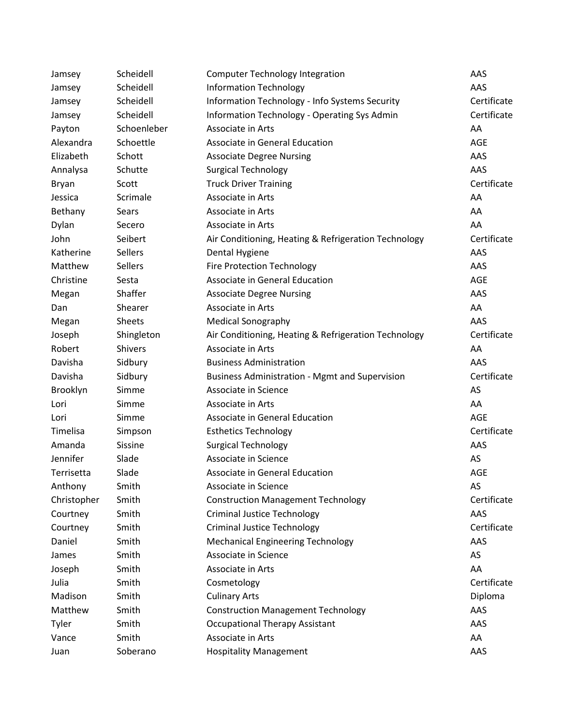| Jamsey      | Scheidell      | <b>Computer Technology Integration</b>                | AAS         |
|-------------|----------------|-------------------------------------------------------|-------------|
| Jamsey      | Scheidell      | <b>Information Technology</b>                         | AAS         |
| Jamsey      | Scheidell      | Information Technology - Info Systems Security        | Certificate |
| Jamsey      | Scheidell      | Information Technology - Operating Sys Admin          | Certificate |
| Payton      | Schoenleber    | Associate in Arts                                     | AA          |
| Alexandra   | Schoettle      | Associate in General Education                        | <b>AGE</b>  |
| Elizabeth   | Schott         | <b>Associate Degree Nursing</b>                       | AAS         |
| Annalysa    | Schutte        | <b>Surgical Technology</b>                            | AAS         |
| Bryan       | Scott          | <b>Truck Driver Training</b>                          | Certificate |
| Jessica     | Scrimale       | Associate in Arts                                     | AA          |
| Bethany     | Sears          | Associate in Arts                                     | AA          |
| Dylan       | Secero         | Associate in Arts                                     | AA          |
| John        | Seibert        | Air Conditioning, Heating & Refrigeration Technology  | Certificate |
| Katherine   | Sellers        | Dental Hygiene                                        | AAS         |
| Matthew     | Sellers        | <b>Fire Protection Technology</b>                     | AAS         |
| Christine   | Sesta          | Associate in General Education                        | <b>AGE</b>  |
| Megan       | Shaffer        | <b>Associate Degree Nursing</b>                       | AAS         |
| Dan         | Shearer        | Associate in Arts                                     | AA          |
| Megan       | <b>Sheets</b>  | <b>Medical Sonography</b>                             | AAS         |
| Joseph      | Shingleton     | Air Conditioning, Heating & Refrigeration Technology  | Certificate |
| Robert      | <b>Shivers</b> | Associate in Arts                                     | AA          |
| Davisha     | Sidbury        | <b>Business Administration</b>                        | AAS         |
| Davisha     | Sidbury        | <b>Business Administration - Mgmt and Supervision</b> | Certificate |
| Brooklyn    | Simme          | Associate in Science                                  | AS          |
| Lori        | Simme          | Associate in Arts                                     | AA          |
| Lori        | Simme          | Associate in General Education                        | <b>AGE</b>  |
| Timelisa    | Simpson        | <b>Esthetics Technology</b>                           | Certificate |
| Amanda      | Sissine        | <b>Surgical Technology</b>                            | AAS         |
| Jennifer    | Slade          | Associate in Science                                  | AS          |
| Terrisetta  | Slade          | Associate in General Education                        | <b>AGE</b>  |
| Anthony     | Smith          | Associate in Science                                  | AS          |
| Christopher | Smith          | <b>Construction Management Technology</b>             | Certificate |
| Courtney    | Smith          | <b>Criminal Justice Technology</b>                    | AAS         |
| Courtney    | Smith          | <b>Criminal Justice Technology</b>                    | Certificate |
| Daniel      | Smith          | <b>Mechanical Engineering Technology</b>              | AAS         |
| James       | Smith          | Associate in Science                                  | AS          |
| Joseph      | Smith          | Associate in Arts                                     | AA          |
| Julia       | Smith          | Cosmetology                                           | Certificate |
| Madison     | Smith          | <b>Culinary Arts</b>                                  | Diploma     |
| Matthew     | Smith          | <b>Construction Management Technology</b>             | AAS         |
| Tyler       | Smith          | <b>Occupational Therapy Assistant</b>                 | AAS         |
| Vance       | Smith          | Associate in Arts                                     | AA          |
| Juan        | Soberano       | <b>Hospitality Management</b>                         | AAS         |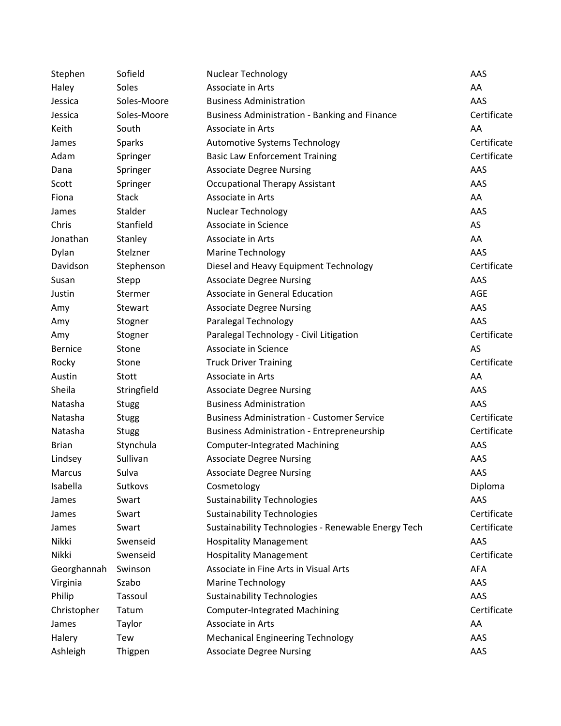| Stephen        | Sofield       | <b>Nuclear Technology</b>                            | AAS         |
|----------------|---------------|------------------------------------------------------|-------------|
| Haley          | Soles         | Associate in Arts                                    | AA          |
| Jessica        | Soles-Moore   | <b>Business Administration</b>                       | AAS         |
| Jessica        | Soles-Moore   | <b>Business Administration - Banking and Finance</b> | Certificate |
| Keith          | South         | Associate in Arts                                    | AA          |
| James          | <b>Sparks</b> | Automotive Systems Technology                        | Certificate |
| Adam           | Springer      | <b>Basic Law Enforcement Training</b>                | Certificate |
| Dana           | Springer      | <b>Associate Degree Nursing</b>                      | AAS         |
| Scott          | Springer      | <b>Occupational Therapy Assistant</b>                | AAS         |
| Fiona          | <b>Stack</b>  | Associate in Arts                                    | AA          |
| James          | Stalder       | Nuclear Technology                                   | AAS         |
| Chris          | Stanfield     | Associate in Science                                 | AS          |
| Jonathan       | Stanley       | Associate in Arts                                    | AA          |
| Dylan          | Stelzner      | <b>Marine Technology</b>                             | AAS         |
| Davidson       | Stephenson    | Diesel and Heavy Equipment Technology                | Certificate |
| Susan          | Stepp         | <b>Associate Degree Nursing</b>                      | AAS         |
| Justin         | Stermer       | Associate in General Education                       | AGE         |
| Amy            | Stewart       | <b>Associate Degree Nursing</b>                      | AAS         |
| Amy            | Stogner       | Paralegal Technology                                 | AAS         |
| Amy            | Stogner       | Paralegal Technology - Civil Litigation              | Certificate |
| <b>Bernice</b> | Stone         | Associate in Science                                 | AS          |
| Rocky          | Stone         | <b>Truck Driver Training</b>                         | Certificate |
| Austin         | Stott         | Associate in Arts                                    | AA          |
| Sheila         | Stringfield   | <b>Associate Degree Nursing</b>                      | AAS         |
| Natasha        | <b>Stugg</b>  | <b>Business Administration</b>                       | AAS         |
| Natasha        | <b>Stugg</b>  | <b>Business Administration - Customer Service</b>    | Certificate |
| Natasha        | <b>Stugg</b>  | <b>Business Administration - Entrepreneurship</b>    | Certificate |
| <b>Brian</b>   | Stynchula     | <b>Computer-Integrated Machining</b>                 | AAS         |
| Lindsey        | Sullivan      | <b>Associate Degree Nursing</b>                      | AAS         |
| Marcus         | Sulva         | <b>Associate Degree Nursing</b>                      | AAS         |
| Isabella       | Sutkovs       | Cosmetology                                          | Diploma     |
| James          | Swart         | <b>Sustainability Technologies</b>                   | AAS         |
| James          | Swart         | <b>Sustainability Technologies</b>                   | Certificate |
| James          | Swart         | Sustainability Technologies - Renewable Energy Tech  | Certificate |
| Nikki          | Swenseid      | <b>Hospitality Management</b>                        | AAS         |
| Nikki          | Swenseid      | <b>Hospitality Management</b>                        | Certificate |
| Georghannah    | Swinson       | Associate in Fine Arts in Visual Arts                | <b>AFA</b>  |
| Virginia       | Szabo         | <b>Marine Technology</b>                             | AAS         |
| Philip         | Tassoul       | <b>Sustainability Technologies</b>                   | AAS         |
| Christopher    | Tatum         | <b>Computer-Integrated Machining</b>                 | Certificate |
| James          | Taylor        | Associate in Arts                                    | AA          |
| Halery         | Tew           | <b>Mechanical Engineering Technology</b>             | AAS         |
| Ashleigh       | Thigpen       | <b>Associate Degree Nursing</b>                      | AAS         |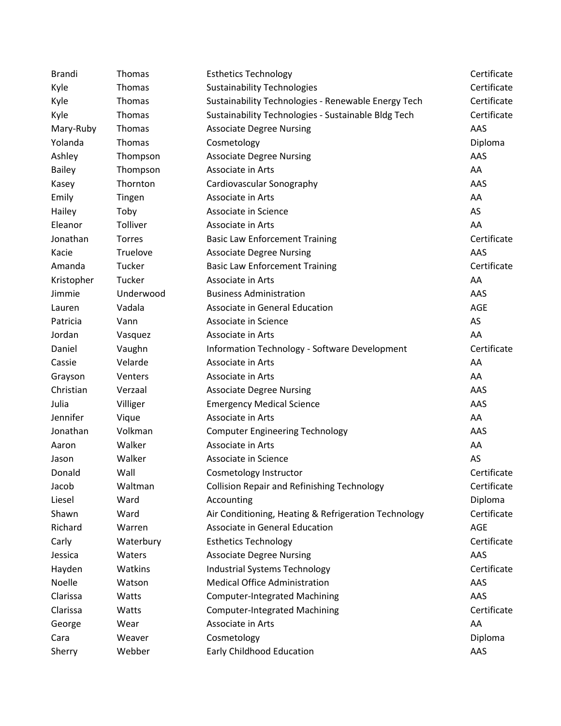| <b>Brandi</b> | Thomas        | <b>Esthetics Technology</b>                          | Certificate |
|---------------|---------------|------------------------------------------------------|-------------|
| Kyle          | Thomas        | <b>Sustainability Technologies</b>                   | Certificate |
| Kyle          | Thomas        | Sustainability Technologies - Renewable Energy Tech  | Certificate |
| Kyle          | Thomas        | Sustainability Technologies - Sustainable Bldg Tech  | Certificate |
| Mary-Ruby     | Thomas        | <b>Associate Degree Nursing</b>                      | AAS         |
| Yolanda       | Thomas        | Cosmetology                                          | Diploma     |
| Ashley        | Thompson      | <b>Associate Degree Nursing</b>                      | AAS         |
| <b>Bailey</b> | Thompson      | Associate in Arts                                    | AA          |
| Kasey         | Thornton      | Cardiovascular Sonography                            | AAS         |
| Emily         | Tingen        | Associate in Arts                                    | AA          |
| Hailey        | Toby          | Associate in Science                                 | AS          |
| Eleanor       | Tolliver      | Associate in Arts                                    | AA          |
| Jonathan      | <b>Torres</b> | <b>Basic Law Enforcement Training</b>                | Certificate |
| Kacie         | Truelove      | <b>Associate Degree Nursing</b>                      | AAS         |
| Amanda        | Tucker        | <b>Basic Law Enforcement Training</b>                | Certificate |
| Kristopher    | Tucker        | Associate in Arts                                    | AA          |
| Jimmie        | Underwood     | <b>Business Administration</b>                       | AAS         |
| Lauren        | Vadala        | Associate in General Education                       | AGE         |
| Patricia      | Vann          | Associate in Science                                 | AS          |
| Jordan        | Vasquez       | Associate in Arts                                    | AA          |
| Daniel        | Vaughn        | Information Technology - Software Development        | Certificate |
| Cassie        | Velarde       | Associate in Arts                                    | AA          |
| Grayson       | Venters       | Associate in Arts                                    | AA          |
| Christian     | Verzaal       | <b>Associate Degree Nursing</b>                      | AAS         |
| Julia         | Villiger      | <b>Emergency Medical Science</b>                     | AAS         |
| Jennifer      | Vique         | Associate in Arts                                    | AA          |
| Jonathan      | Volkman       | <b>Computer Engineering Technology</b>               | AAS         |
| Aaron         | Walker        | Associate in Arts                                    | AA          |
| Jason         | Walker        | Associate in Science                                 | AS          |
| Donald        | Wall          | Cosmetology Instructor                               | Certificate |
| Jacob         | Waltman       | <b>Collision Repair and Refinishing Technology</b>   | Certificate |
| Liesel        | Ward          | Accounting                                           | Diploma     |
| Shawn         | Ward          | Air Conditioning, Heating & Refrigeration Technology | Certificate |
| Richard       | Warren        | Associate in General Education                       | <b>AGE</b>  |
| Carly         | Waterbury     | <b>Esthetics Technology</b>                          | Certificate |
| Jessica       | Waters        | <b>Associate Degree Nursing</b>                      | AAS         |
| Hayden        | Watkins       | <b>Industrial Systems Technology</b>                 | Certificate |
| Noelle        | Watson        | <b>Medical Office Administration</b>                 | AAS         |
| Clarissa      | Watts         | <b>Computer-Integrated Machining</b>                 | AAS         |
| Clarissa      | Watts         | <b>Computer-Integrated Machining</b>                 | Certificate |
| George        | Wear          | Associate in Arts                                    | AA          |
| Cara          | Weaver        | Cosmetology                                          | Diploma     |
| Sherry        | Webber        | Early Childhood Education                            | AAS         |